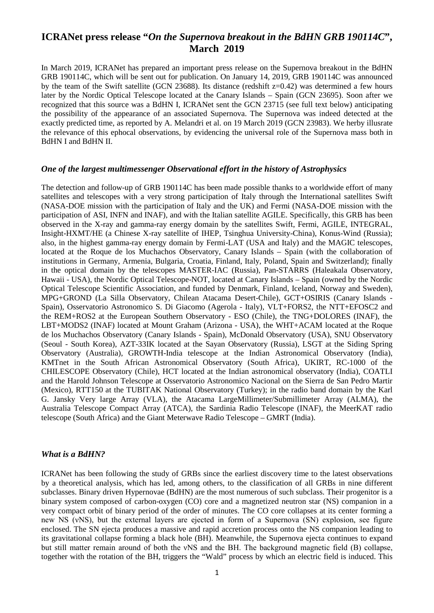# **ICRANet press release "***On the Supernova breakout in the BdHN GRB 190114C***", March 2019**

In March 2019, ICRANet has prepared an important press release on the Supernova breakout in the BdHN GRB 190114C, which will be sent out for publication. On January 14, 2019, GRB 190114C was announced by the team of the Swift satellite (GCN 23688). Its distance (redshift z=0.42) was determined a few hours later by the Nordic Optical Telescope located at the Canary Islands – Spain (GCN 23695). Soon after we recognized that this source was a BdHN I, ICRANet sent the GCN 23715 (see full text below) anticipating the possibility of the appearance of an associated Supernova. The Supernova was indeed detected at the exactly predicted time, as reported by A. Melandri et al. on 19 March 2019 (GCN 23983). We herby illusrate the relevance of this ephocal observations, by evidencing the universal role of the Supernova mass both in BdHN I and BdHN II.

#### *One of the largest multimessenger Observational effort in the history of Astrophysics*

The detection and follow-up of GRB 190114C has been made possible thanks to a worldwide effort of many satellites and telescopes with a very strong participation of Italy through the International satellites Swift (NASA-DOE mission with the participation of Italy and the UK) and Fermi (NASA-DOE mission with the participation of ASI, INFN and INAF), and with the Italian satellite AGILE. Specifically, this GRB has been observed in the X-ray and gamma-ray energy domain by the satellites Swift, Fermi, AGILE, INTEGRAL, Insight-HXMT/HE (a Chinese X-ray satellite of IHEP, Tsinghua University-China), Konus-Wind (Russia); also, in the highest gamma-ray energy domain by Fermi-LAT (USA and Italy) and the MAGIC telescopes, located at the Roque de los Muchachos Observatory, Canary Islands – Spain (with the collaboration of institutions in Germany, Armenia, Bulgaria, Croatia, Finland, Italy, Poland, Spain and Switzerland); finally in the optical domain by the telescopes MASTER-IAC (Russia), Pan-STARRS (Haleakala Observatory, Hawaii - USA), the Nordic Optical Telescope-NOT, located at Canary Islands – Spain (owned by the Nordic Optical Telescope Scientific Association, and funded by Denmark, Finland, Iceland, Norway and Sweden), MPG+GROND (La Silla Observatory, Chilean Atacama Desert-Chile), GCT+OSIRIS (Canary Islands - Spain), Osservatorio Astronomico S. Di Giacomo (Agerola - Italy), VLT+FORS2, the NTT+EFOSC2 and the REM+ROS2 at the European Southern Observatory - ESO (Chile), the TNG+DOLORES (INAF), the LBT+MODS2 (INAF) located at Mount Graham (Arizona - USA), the WHT+ACAM located at the Roque de los Muchachos Observatory (Canary Islands - Spain), McDonald Observatory (USA), SNU Observatory (Seoul - South Korea), AZT-33IK located at the Sayan Observatory (Russia), LSGT at the Siding Spring Observatory (Australia), GROWTH-India telescope at the Indian Astronomical Observatory (India), KMTnet in the South African Astronomical Observatory (South Africa), UKIRT, RC-1000 of the CHILESCOPE Observatory (Chile), HCT located at the Indian astronomical observatory (India), COATLI and the Harold Johnson Telescope at Osservatorio Astronomico Nacional on the Sierra de San Pedro Martir (Mexico), RTT150 at the TUBITAK National Observatory (Turkey); in the radio band domain by the Karl G. Jansky Very large Array (VLA), the Atacama LargeMillimeter/Submillimeter Array (ALMA), the Australia Telescope Compact Array (ATCA), the Sardinia Radio Telescope (INAF), the MeerKAT radio telescope (South Africa) and the Giant Meterwave Radio Telescope – GMRT (India).

#### *What is a BdHN?*

ICRANet has been following the study of GRBs since the earliest discovery time to the latest observations by a theoretical analysis, which has led, among others, to the classification of all GRBs in nine different subclasses. Binary driven Hypernovae (BdHN) are the most numerous of such subclass. Their progenitor is a binary system composed of carbon-oxygen (CO) core and a magnetized neutron star (NS) companion in a very compact orbit of binary period of the order of minutes. The CO core collapses at its center forming a new NS (νNS), but the external layers are ejected in form of a Supernova (SN) explosion, see figure enclosed. The SN ejecta produces a massive and rapid accretion process onto the NS companion leading to its gravitational collapse forming a black hole (BH). Meanwhile, the Supernova ejecta continues to expand but still matter remain around of both the νNS and the BH. The background magnetic field (B) collapse, together with the rotation of the BH, triggers the "Wald" process by which an electric field is induced. This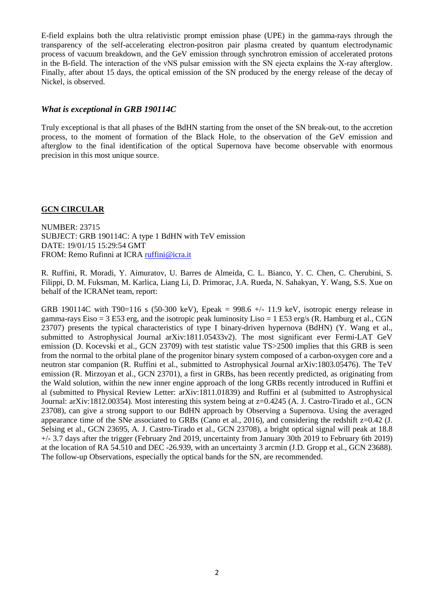E-field explains both the ultra relativistic prompt emission phase (UPE) in the gamma-rays through the transparency of the self-accelerating electron-positron pair plasma created by quantum electrodynamic process of vacuum breakdown, and the GeV emission through synchrotron emission of accelerated protons in the B-field. The interaction of the νNS pulsar emission with the SN ejecta explains the X-ray afterglow. Finally, after about 15 days, the optical emission of the SN produced by the energy release of the decay of Nickel, is observed.

## *What is exceptional in GRB 190114C*

Truly exceptional is that all phases of the BdHN starting from the onset of the SN break-out, to the accretion process, to the moment of formation of the Black Hole, to the observation of the GeV emission and afterglow to the final identification of the optical Supernova have become observable with enormous precision in this most unique source.

### **GCN CIRCULAR**

FROM: Remo Rufinni at ICRA *[ruffini@icra.it](mailto:ruffini@icra.it)* NUMBER: 23715 SUBJECT: GRB 190114C: A type 1 BdHN with TeV emission DATE: 19/01/15 15:29:54 GMT

R. Ruffini, R. Moradi, Y. Aimuratov, U. Barres de Almeida, C. L. Bianco, Y. C. Chen, C. Cherubini, S. Filippi, D. M. Fuksman, M. Karlica, Liang Li, D. Primorac, J.A. Rueda, N. Sahakyan, Y. Wang, S.S. Xue on behalf of the ICRANet team, report:

GRB 190114C with T90=116 s (50-300 keV), Epeak = 998.6 +/- 11.9 keV, isotropic energy release in gamma-rays Eiso = 3 E53 erg, and the isotropic peak luminosity Liso = 1 E53 erg/s (R. Hamburg et al., CGN 23707) presents the typical characteristics of type I binary-driven hypernova (BdHN) (Y. Wang et al., submitted to Astrophysical Journal arXiv:1811.05433v2). The most significant ever Fermi-LAT GeV emission (D. Kocevski et al., GCN 23709) with test statistic value TS>2500 implies that this GRB is seen from the normal to the orbital plane of the progenitor binary system composed of a carbon-oxygen core and a neutron star companion (R. Ruffini et al., submitted to Astrophysical Journal arXiv:1803.05476). The TeV emission (R. Mirzoyan et al., GCN 23701), a first in GRBs, has been recently predicted, as originating from the Wald solution, within the new inner engine approach of the long GRBs recently introduced in Ruffini et al (submitted to Physical Review Letter: arXiv:1811.01839) and Ruffini et al (submitted to Astrophysical Journal: arXiv:1812.00354). Most interesting this system being at z=0.4245 (A. J. Castro-Tirado et al., GCN 23708), can give a strong support to our BdHN approach by Observing a Supernova. Using the averaged appearance time of the SNe associated to GRBs (Cano et al., 2016), and considering the redshift  $z=0.42$  (J. Selsing et al., GCN 23695, A. J. Castro-Tirado et al., GCN 23708), a bright optical signal will peak at 18.8 +/- 3.7 days after the trigger (February 2nd 2019, uncertainty from January 30th 2019 to February 6th 2019) at the location of RA 54.510 and DEC -26.939, with an uncertainty 3 arcmin (J.D. Gropp et al., GCN 23688). The follow-up Observations, especially the optical bands for the SN, are recommended.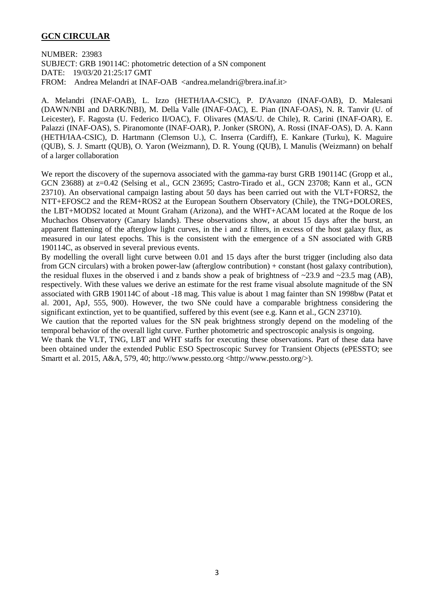### **GCN CIRCULAR**

NUMBER: 23983 SUBJECT: GRB 190114C: photometric detection of a SN component DATE: 19/03/20 21:25:17 GMT FROM: Andrea Melandri at INAF-OAB <andrea.melandri@brera.inaf.it>

A. Melandri (INAF-OAB), L. Izzo (HETH/IAA-CSIC), P. D'Avanzo (INAF-OAB), D. Malesani (DAWN/NBI and DARK/NBI), M. Della Valle (INAF-OAC), E. Pian (INAF-OAS), N. R. Tanvir (U. of Leicester), F. Ragosta (U. Federico II/OAC), F. Olivares (MAS/U. de Chile), R. Carini (INAF-OAR), E. Palazzi (INAF-OAS), S. Piranomonte (INAF-OAR), P. Jonker (SRON), A. Rossi (INAF-OAS), D. A. Kann (HETH/IAA-CSIC), D. Hartmann (Clemson U.), C. Inserra (Cardiff), E. Kankare (Turku), K. Maguire (QUB), S. J. Smartt (QUB), O. Yaron (Weizmann), D. R. Young (QUB), I. Manulis (Weizmann) on behalf of a larger collaboration

We report the discovery of the supernova associated with the gamma-ray burst GRB 190114C (Gropp et al., GCN 23688) at z=0.42 (Selsing et al., GCN 23695; Castro-Tirado et al., GCN 23708; Kann et al., GCN 23710). An observational campaign lasting about 50 days has been carried out with the VLT+FORS2, the NTT+EFOSC2 and the REM+ROS2 at the European Southern Observatory (Chile), the TNG+DOLORES, the LBT+MODS2 located at Mount Graham (Arizona), and the WHT+ACAM located at the Roque de los Muchachos Observatory (Canary Islands). These observations show, at about 15 days after the burst, an apparent flattening of the afterglow light curves, in the i and z filters, in excess of the host galaxy flux, as measured in our latest epochs. This is the consistent with the emergence of a SN associated with GRB 190114C, as observed in several previous events.

By modelling the overall light curve between 0.01 and 15 days after the burst trigger (including also data from GCN circulars) with a broken power-law (afterglow contribution) + constant (host galaxy contribution), the residual fluxes in the observed i and z bands show a peak of brightness of  $\sim$ 23.9 and  $\sim$ 23.5 mag (AB), respectively. With these values we derive an estimate for the rest frame visual absolute magnitude of the SN associated with GRB 190114C of about -18 mag. This value is about 1 mag fainter than SN 1998bw (Patat et al. 2001, ApJ, 555, 900). However, the two SNe could have a comparable brightness considering the significant extinction, yet to be quantified, suffered by this event (see e.g. Kann et al., GCN 23710).

We caution that the reported values for the SN peak brightness strongly depend on the modeling of the temporal behavior of the overall light curve. Further photometric and spectroscopic analysis is ongoing.

We thank the VLT, TNG, LBT and WHT staffs for executing these observations. Part of these data have been obtained under the extended Public ESO Spectroscopic Survey for Transient Objects (ePESSTO; see Smartt et al. 2015, A&A, 579, 40; http://www.pessto.org <http://www.pessto.org/>).